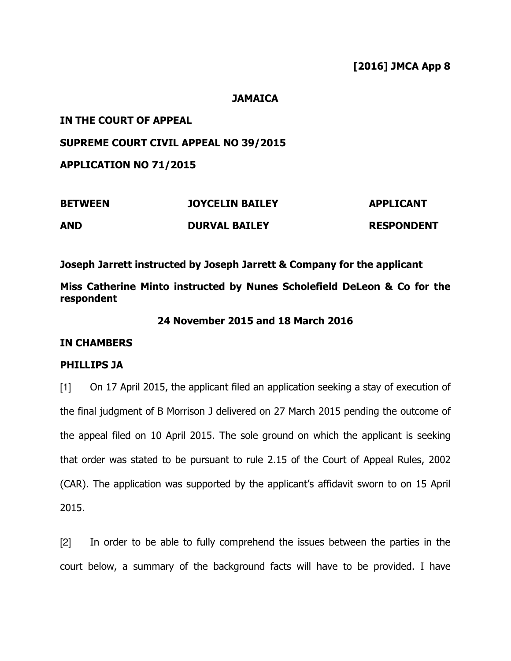### **JAMAICA**

## IN THE COURT OF APPEAL

## SUPREME COURT CIVIL APPEAL NO 39/2015

APPLICATION NO 71/2015

| <b>BETWEEN</b> | <b>JOYCELIN BAILEY</b> | <b>APPLICANT</b>  |
|----------------|------------------------|-------------------|
| <b>AND</b>     | <b>DURVAL BAILEY</b>   | <b>RESPONDENT</b> |

Joseph Jarrett instructed by Joseph Jarrett & Company for the applicant

Miss Catherine Minto instructed by Nunes Scholefield DeLeon & Co for the respondent

### 24 November 2015 and 18 March 2016

### IN CHAMBERS

### PHILLIPS JA

[1] On 17 April 2015, the applicant filed an application seeking a stay of execution of the final judgment of B Morrison J delivered on 27 March 2015 pending the outcome of the appeal filed on 10 April 2015. The sole ground on which the applicant is seeking that order was stated to be pursuant to rule 2.15 of the Court of Appeal Rules, 2002 (CAR). The application was supported by the applicant's affidavit sworn to on 15 April 2015.

[2] In order to be able to fully comprehend the issues between the parties in the court below, a summary of the background facts will have to be provided. I have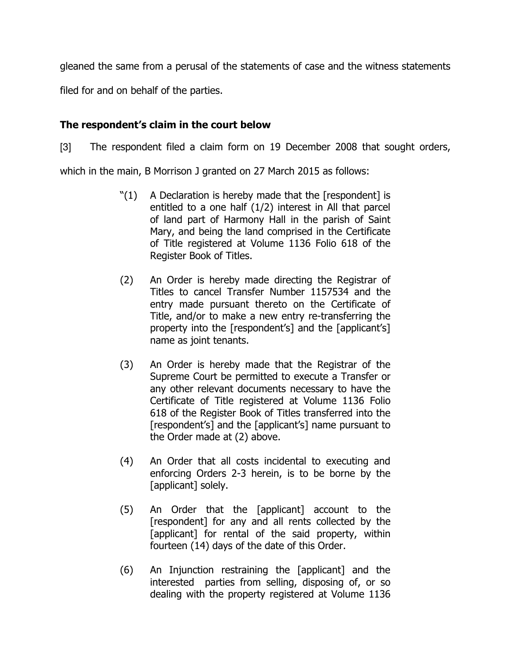gleaned the same from a perusal of the statements of case and the witness statements

filed for and on behalf of the parties.

## The respondent's claim in the court below

[3] The respondent filed a claim form on 19 December 2008 that sought orders,

which in the main, B Morrison J granted on 27 March 2015 as follows:

- $"(1)$  A Declaration is hereby made that the [respondent] is entitled to a one half (1/2) interest in All that parcel of land part of Harmony Hall in the parish of Saint Mary, and being the land comprised in the Certificate of Title registered at Volume 1136 Folio 618 of the Register Book of Titles.
- (2) An Order is hereby made directing the Registrar of Titles to cancel Transfer Number 1157534 and the entry made pursuant thereto on the Certificate of Title, and/or to make a new entry re-transferring the property into the [respondent's] and the [applicant's] name as joint tenants.
- (3) An Order is hereby made that the Registrar of the Supreme Court be permitted to execute a Transfer or any other relevant documents necessary to have the Certificate of Title registered at Volume 1136 Folio 618 of the Register Book of Titles transferred into the [respondent's] and the [applicant's] name pursuant to the Order made at (2) above.
- (4) An Order that all costs incidental to executing and enforcing Orders 2-3 herein, is to be borne by the [applicant] solely.
- (5) An Order that the [applicant] account to the [respondent] for any and all rents collected by the [applicant] for rental of the said property, within fourteen (14) days of the date of this Order.
- (6) An Injunction restraining the [applicant] and the interested parties from selling, disposing of, or so dealing with the property registered at Volume 1136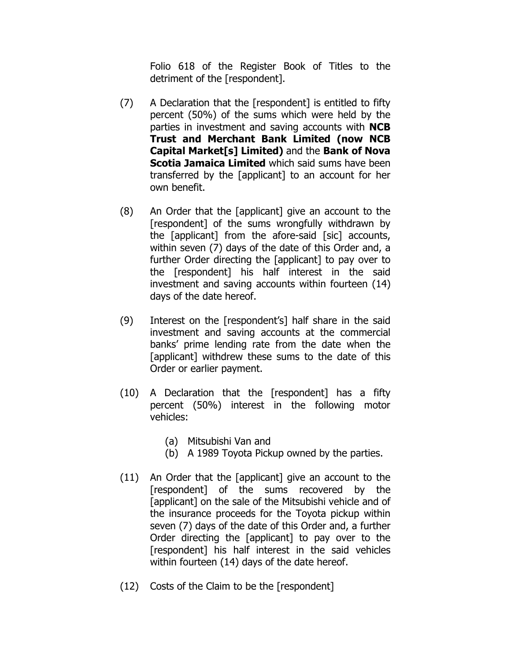Folio 618 of the Register Book of Titles to the detriment of the [respondent].

- (7) A Declaration that the [respondent] is entitled to fifty percent (50%) of the sums which were held by the parties in investment and saving accounts with **NCB** Trust and Merchant Bank Limited (now NCB Capital Market[s] Limited) and the Bank of Nova **Scotia Jamaica Limited** which said sums have been transferred by the [applicant] to an account for her own benefit.
- (8) An Order that the [applicant] give an account to the [respondent] of the sums wrongfully withdrawn by the [applicant] from the afore-said [sic] accounts, within seven (7) days of the date of this Order and, a further Order directing the [applicant] to pay over to the [respondent] his half interest in the said investment and saving accounts within fourteen (14) days of the date hereof.
- (9) Interest on the [respondent's] half share in the said investment and saving accounts at the commercial banks' prime lending rate from the date when the [applicant] withdrew these sums to the date of this Order or earlier payment.
- (10) A Declaration that the [respondent] has a fifty percent (50%) interest in the following motor vehicles:
	- (a) Mitsubishi Van and
	- (b) A 1989 Toyota Pickup owned by the parties.
- (11) An Order that the [applicant] give an account to the [respondent] of the sums recovered by the [applicant] on the sale of the Mitsubishi vehicle and of the insurance proceeds for the Toyota pickup within seven (7) days of the date of this Order and, a further Order directing the [applicant] to pay over to the [respondent] his half interest in the said vehicles within fourteen (14) days of the date hereof.
- (12) Costs of the Claim to be the [respondent]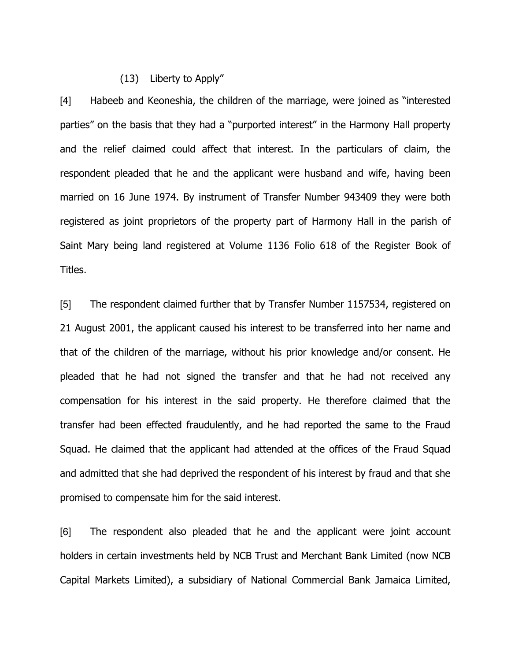### (13) Liberty to Apply"

[4] Habeeb and Keoneshia, the children of the marriage, were joined as "interested parties" on the basis that they had a "purported interest" in the Harmony Hall property and the relief claimed could affect that interest. In the particulars of claim, the respondent pleaded that he and the applicant were husband and wife, having been married on 16 June 1974. By instrument of Transfer Number 943409 they were both registered as joint proprietors of the property part of Harmony Hall in the parish of Saint Mary being land registered at Volume 1136 Folio 618 of the Register Book of Titles.

[5] The respondent claimed further that by Transfer Number 1157534, registered on 21 August 2001, the applicant caused his interest to be transferred into her name and that of the children of the marriage, without his prior knowledge and/or consent. He pleaded that he had not signed the transfer and that he had not received any compensation for his interest in the said property. He therefore claimed that the transfer had been effected fraudulently, and he had reported the same to the Fraud Squad. He claimed that the applicant had attended at the offices of the Fraud Squad and admitted that she had deprived the respondent of his interest by fraud and that she promised to compensate him for the said interest.

[6] The respondent also pleaded that he and the applicant were joint account holders in certain investments held by NCB Trust and Merchant Bank Limited (now NCB Capital Markets Limited), a subsidiary of National Commercial Bank Jamaica Limited,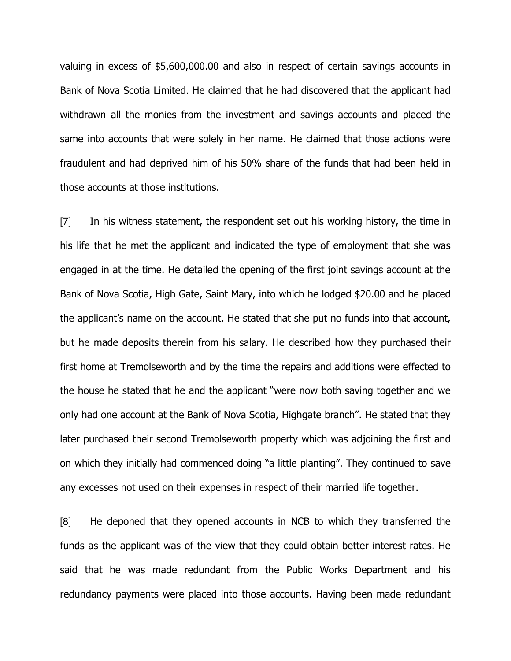valuing in excess of \$5,600,000.00 and also in respect of certain savings accounts in Bank of Nova Scotia Limited. He claimed that he had discovered that the applicant had withdrawn all the monies from the investment and savings accounts and placed the same into accounts that were solely in her name. He claimed that those actions were fraudulent and had deprived him of his 50% share of the funds that had been held in those accounts at those institutions.

[7] In his witness statement, the respondent set out his working history, the time in his life that he met the applicant and indicated the type of employment that she was engaged in at the time. He detailed the opening of the first joint savings account at the Bank of Nova Scotia, High Gate, Saint Mary, into which he lodged \$20.00 and he placed the applicant's name on the account. He stated that she put no funds into that account, but he made deposits therein from his salary. He described how they purchased their first home at Tremolseworth and by the time the repairs and additions were effected to the house he stated that he and the applicant "were now both saving together and we only had one account at the Bank of Nova Scotia, Highgate branch". He stated that they later purchased their second Tremolseworth property which was adjoining the first and on which they initially had commenced doing "a little planting". They continued to save any excesses not used on their expenses in respect of their married life together.

[8] He deponed that they opened accounts in NCB to which they transferred the funds as the applicant was of the view that they could obtain better interest rates. He said that he was made redundant from the Public Works Department and his redundancy payments were placed into those accounts. Having been made redundant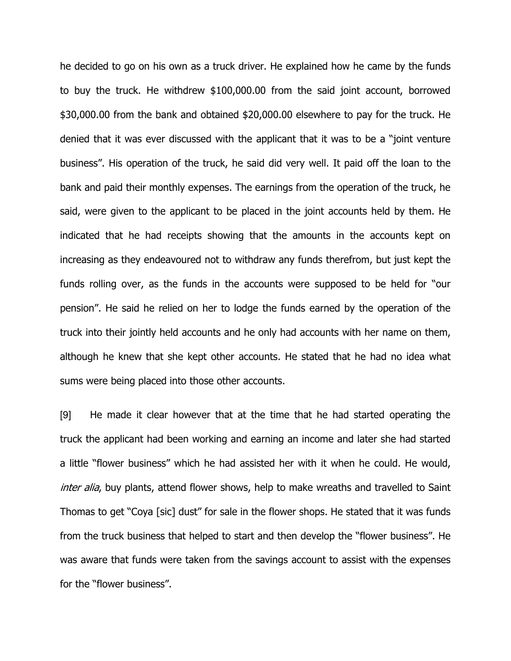he decided to go on his own as a truck driver. He explained how he came by the funds to buy the truck. He withdrew \$100,000.00 from the said joint account, borrowed \$30,000.00 from the bank and obtained \$20,000.00 elsewhere to pay for the truck. He denied that it was ever discussed with the applicant that it was to be a "joint venture business". His operation of the truck, he said did very well. It paid off the loan to the bank and paid their monthly expenses. The earnings from the operation of the truck, he said, were given to the applicant to be placed in the joint accounts held by them. He indicated that he had receipts showing that the amounts in the accounts kept on increasing as they endeavoured not to withdraw any funds therefrom, but just kept the funds rolling over, as the funds in the accounts were supposed to be held for "our pension". He said he relied on her to lodge the funds earned by the operation of the truck into their jointly held accounts and he only had accounts with her name on them, although he knew that she kept other accounts. He stated that he had no idea what sums were being placed into those other accounts.

[9] He made it clear however that at the time that he had started operating the truck the applicant had been working and earning an income and later she had started a little "flower business" which he had assisted her with it when he could. He would, inter alia, buy plants, attend flower shows, help to make wreaths and travelled to Saint Thomas to get "Coya [sic] dust" for sale in the flower shops. He stated that it was funds from the truck business that helped to start and then develop the "flower business". He was aware that funds were taken from the savings account to assist with the expenses for the "flower business".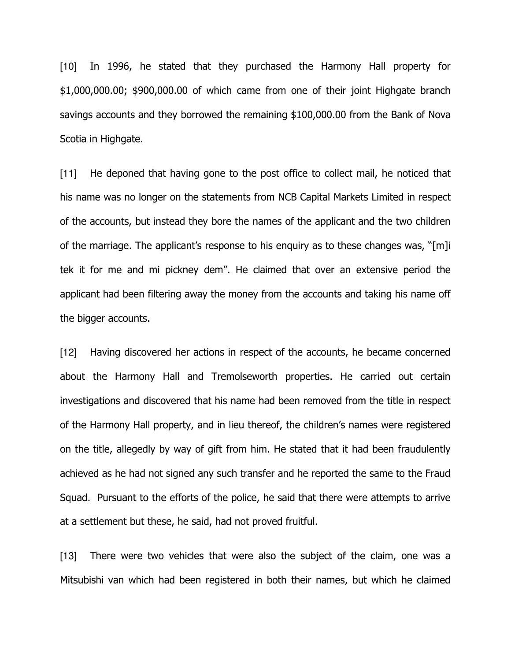[10] In 1996, he stated that they purchased the Harmony Hall property for \$1,000,000.00; \$900,000.00 of which came from one of their joint Highgate branch savings accounts and they borrowed the remaining \$100,000.00 from the Bank of Nova Scotia in Highgate.

[11] He deponed that having gone to the post office to collect mail, he noticed that his name was no longer on the statements from NCB Capital Markets Limited in respect of the accounts, but instead they bore the names of the applicant and the two children of the marriage. The applicant's response to his enquiry as to these changes was, "[m]i tek it for me and mi pickney dem". He claimed that over an extensive period the applicant had been filtering away the money from the accounts and taking his name off the bigger accounts.

[12] Having discovered her actions in respect of the accounts, he became concerned about the Harmony Hall and Tremolseworth properties. He carried out certain investigations and discovered that his name had been removed from the title in respect of the Harmony Hall property, and in lieu thereof, the children's names were registered on the title, allegedly by way of gift from him. He stated that it had been fraudulently achieved as he had not signed any such transfer and he reported the same to the Fraud Squad. Pursuant to the efforts of the police, he said that there were attempts to arrive at a settlement but these, he said, had not proved fruitful.

[13] There were two vehicles that were also the subject of the claim, one was a Mitsubishi van which had been registered in both their names, but which he claimed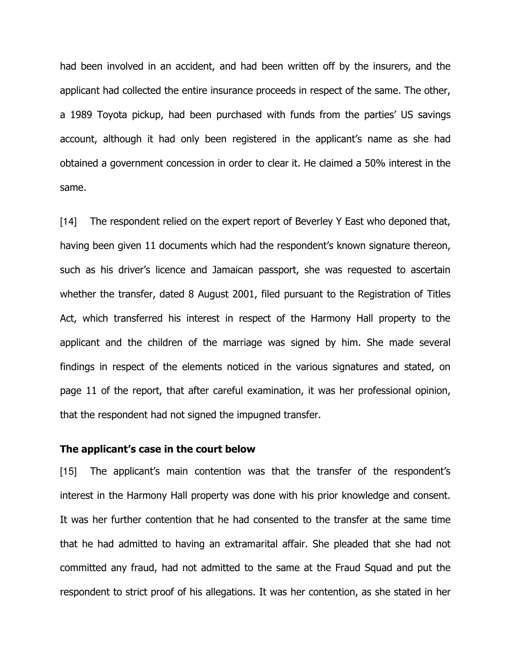had been involved in an accident, and had been written off by the insurers, and the applicant had collected the entire insurance proceeds in respect of the same. The other, a 1989 Toyota pickup, had been purchased with funds from the parties' US savings account, although it had only been registered in the applicant's name as she had obtained a government concession in order to clear it. He claimed a 50% interest in the same.

[14] The respondent relied on the expert report of Beverley Y East who deponed that, having been given 11 documents which had the respondent's known signature thereon, such as his driver's licence and Jamaican passport, she was requested to ascertain whether the transfer, dated 8 August 2001, filed pursuant to the Registration of Titles Act, which transferred his interest in respect of the Harmony Hall property to the applicant and the children of the marriage was signed by him. She made several findings in respect of the elements noticed in the various signatures and stated, on page 11 of the report, that after careful examination, it was her professional opinion, that the respondent had not signed the impugned transfer.

### The applicant's case in the court below

[15] The applicant's main contention was that the transfer of the respondent's interest in the Harmony Hall property was done with his prior knowledge and consent. It was her further contention that he had consented to the transfer at the same time that he had admitted to having an extramarital affair. She pleaded that she had not committed any fraud, had not admitted to the same at the Fraud Squad and put the respondent to strict proof of his allegations. It was her contention, as she stated in her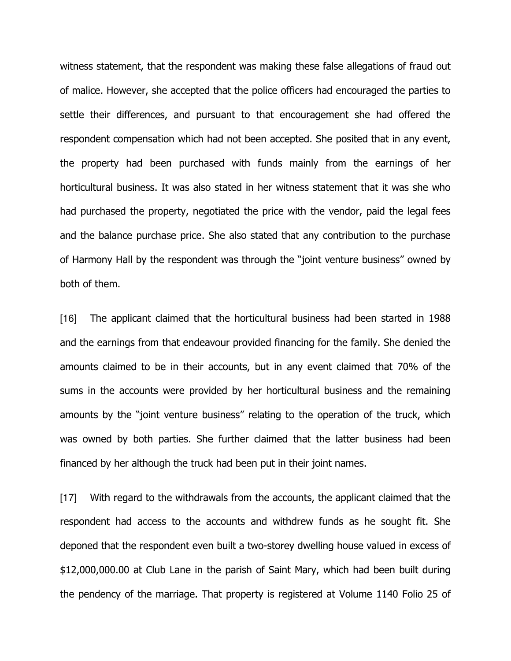witness statement, that the respondent was making these false allegations of fraud out of malice. However, she accepted that the police officers had encouraged the parties to settle their differences, and pursuant to that encouragement she had offered the respondent compensation which had not been accepted. She posited that in any event, the property had been purchased with funds mainly from the earnings of her horticultural business. It was also stated in her witness statement that it was she who had purchased the property, negotiated the price with the vendor, paid the legal fees and the balance purchase price. She also stated that any contribution to the purchase of Harmony Hall by the respondent was through the "joint venture business" owned by both of them.

[16] The applicant claimed that the horticultural business had been started in 1988 and the earnings from that endeavour provided financing for the family. She denied the amounts claimed to be in their accounts, but in any event claimed that 70% of the sums in the accounts were provided by her horticultural business and the remaining amounts by the "joint venture business" relating to the operation of the truck, which was owned by both parties. She further claimed that the latter business had been financed by her although the truck had been put in their joint names.

[17] With regard to the withdrawals from the accounts, the applicant claimed that the respondent had access to the accounts and withdrew funds as he sought fit. She deponed that the respondent even built a two-storey dwelling house valued in excess of \$12,000,000.00 at Club Lane in the parish of Saint Mary, which had been built during the pendency of the marriage. That property is registered at Volume 1140 Folio 25 of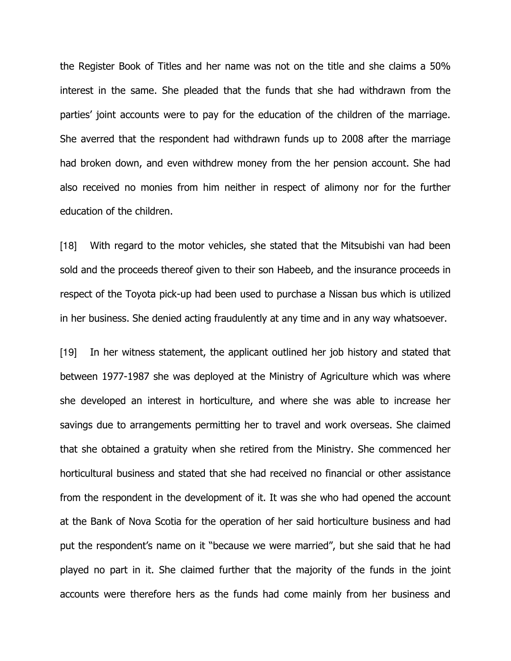the Register Book of Titles and her name was not on the title and she claims a 50% interest in the same. She pleaded that the funds that she had withdrawn from the parties' joint accounts were to pay for the education of the children of the marriage. She averred that the respondent had withdrawn funds up to 2008 after the marriage had broken down, and even withdrew money from the her pension account. She had also received no monies from him neither in respect of alimony nor for the further education of the children.

[18] With regard to the motor vehicles, she stated that the Mitsubishi van had been sold and the proceeds thereof given to their son Habeeb, and the insurance proceeds in respect of the Toyota pick-up had been used to purchase a Nissan bus which is utilized in her business. She denied acting fraudulently at any time and in any way whatsoever.

[19] In her witness statement, the applicant outlined her job history and stated that between 1977-1987 she was deployed at the Ministry of Agriculture which was where she developed an interest in horticulture, and where she was able to increase her savings due to arrangements permitting her to travel and work overseas. She claimed that she obtained a gratuity when she retired from the Ministry. She commenced her horticultural business and stated that she had received no financial or other assistance from the respondent in the development of it. It was she who had opened the account at the Bank of Nova Scotia for the operation of her said horticulture business and had put the respondent's name on it "because we were married", but she said that he had played no part in it. She claimed further that the majority of the funds in the joint accounts were therefore hers as the funds had come mainly from her business and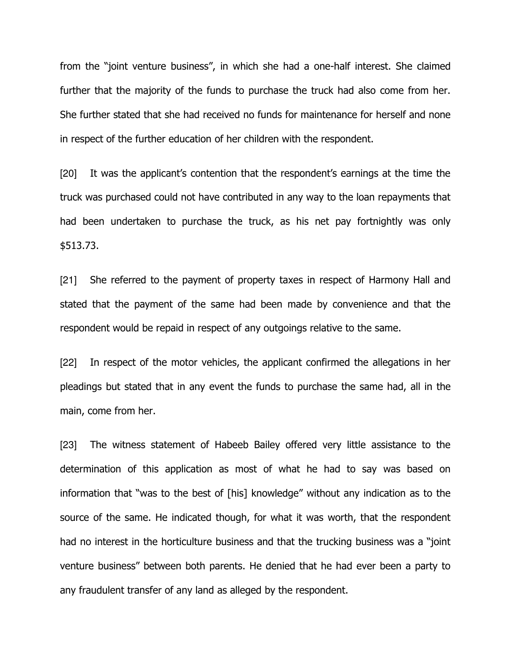from the "joint venture business", in which she had a one-half interest. She claimed further that the majority of the funds to purchase the truck had also come from her. She further stated that she had received no funds for maintenance for herself and none in respect of the further education of her children with the respondent.

[20] It was the applicant's contention that the respondent's earnings at the time the truck was purchased could not have contributed in any way to the loan repayments that had been undertaken to purchase the truck, as his net pay fortnightly was only \$513.73.

[21] She referred to the payment of property taxes in respect of Harmony Hall and stated that the payment of the same had been made by convenience and that the respondent would be repaid in respect of any outgoings relative to the same.

[22] In respect of the motor vehicles, the applicant confirmed the allegations in her pleadings but stated that in any event the funds to purchase the same had, all in the main, come from her.

[23] The witness statement of Habeeb Bailey offered very little assistance to the determination of this application as most of what he had to say was based on information that "was to the best of [his] knowledge" without any indication as to the source of the same. He indicated though, for what it was worth, that the respondent had no interest in the horticulture business and that the trucking business was a "joint venture business" between both parents. He denied that he had ever been a party to any fraudulent transfer of any land as alleged by the respondent.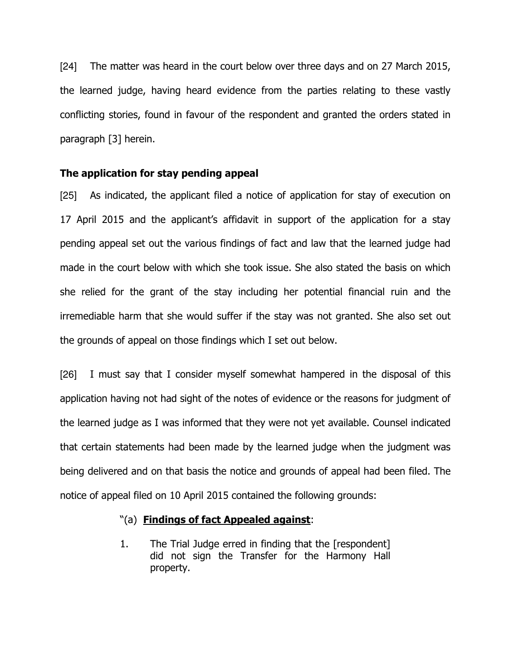[24] The matter was heard in the court below over three days and on 27 March 2015, the learned judge, having heard evidence from the parties relating to these vastly conflicting stories, found in favour of the respondent and granted the orders stated in paragraph [3] herein.

### The application for stay pending appeal

[25] As indicated, the applicant filed a notice of application for stay of execution on 17 April 2015 and the applicant's affidavit in support of the application for a stay pending appeal set out the various findings of fact and law that the learned judge had made in the court below with which she took issue. She also stated the basis on which she relied for the grant of the stay including her potential financial ruin and the irremediable harm that she would suffer if the stay was not granted. She also set out the grounds of appeal on those findings which I set out below.

[26] I must say that I consider myself somewhat hampered in the disposal of this application having not had sight of the notes of evidence or the reasons for judgment of the learned judge as I was informed that they were not yet available. Counsel indicated that certain statements had been made by the learned judge when the judgment was being delivered and on that basis the notice and grounds of appeal had been filed. The notice of appeal filed on 10 April 2015 contained the following grounds:

## "(a) Findings of fact Appealed against:

1. The Trial Judge erred in finding that the [respondent] did not sign the Transfer for the Harmony Hall property.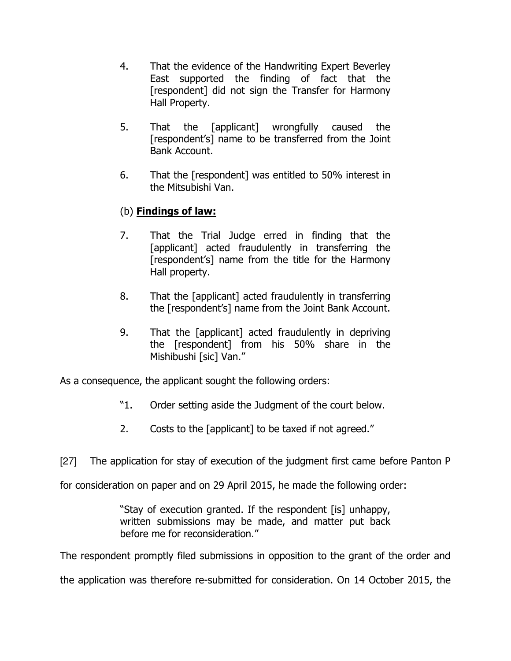- 4. That the evidence of the Handwriting Expert Beverley East supported the finding of fact that the [respondent] did not sign the Transfer for Harmony Hall Property.
- 5. That the [applicant] wrongfully caused the [respondent's] name to be transferred from the Joint Bank Account.
- 6. That the [respondent] was entitled to 50% interest in the Mitsubishi Van.

# (b) **Findings of law:**

- 7. That the Trial Judge erred in finding that the [applicant] acted fraudulently in transferring the [respondent's] name from the title for the Harmony Hall property.
- 8. That the [applicant] acted fraudulently in transferring the [respondent's] name from the Joint Bank Account.
- 9. That the [applicant] acted fraudulently in depriving the [respondent] from his 50% share in the Mishibushi [sic] Van."

As a consequence, the applicant sought the following orders:

- "1. Order setting aside the Judgment of the court below.
- 2. Costs to the [applicant] to be taxed if not agreed."

[27] The application for stay of execution of the judgment first came before Panton P

for consideration on paper and on 29 April 2015, he made the following order:

"Stay of execution granted. If the respondent [is] unhappy, written submissions may be made, and matter put back before me for reconsideration."

The respondent promptly filed submissions in opposition to the grant of the order and

the application was therefore re-submitted for consideration. On 14 October 2015, the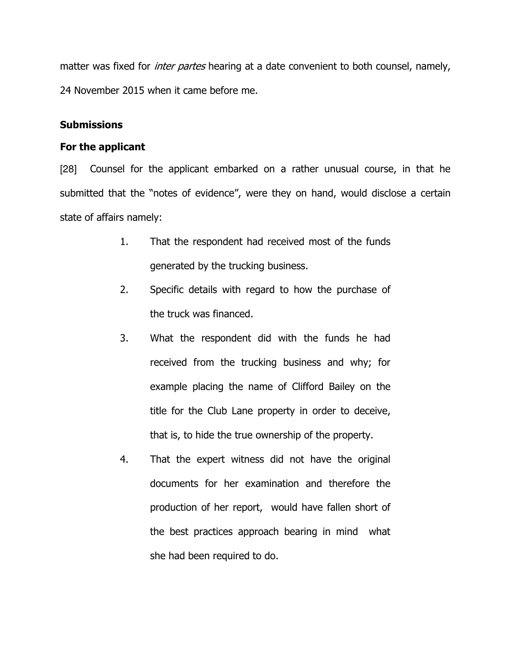matter was fixed for *inter partes* hearing at a date convenient to both counsel, namely, 24 November 2015 when it came before me.

## **Submissions**

## For the applicant

[28] Counsel for the applicant embarked on a rather unusual course, in that he submitted that the "notes of evidence", were they on hand, would disclose a certain state of affairs namely:

- 1. That the respondent had received most of the funds generated by the trucking business.
- 2. Specific details with regard to how the purchase of the truck was financed.
- 3. What the respondent did with the funds he had received from the trucking business and why; for example placing the name of Clifford Bailey on the title for the Club Lane property in order to deceive, that is, to hide the true ownership of the property.
- 4. That the expert witness did not have the original documents for her examination and therefore the production of her report, would have fallen short of the best practices approach bearing in mind what she had been required to do.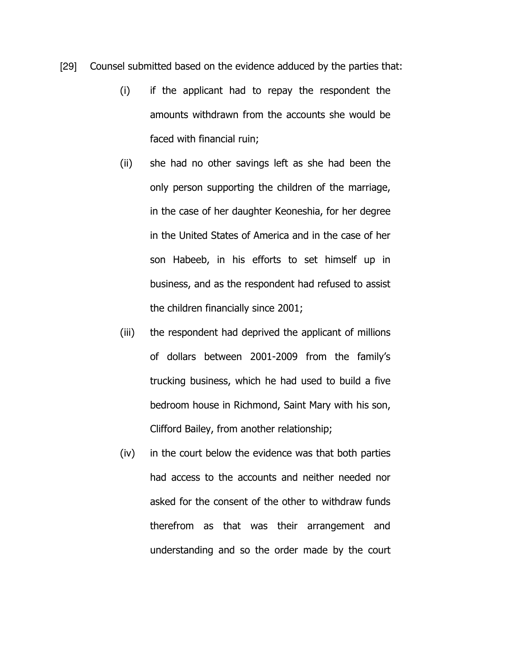- [29] Counsel submitted based on the evidence adduced by the parties that:
	- (i) if the applicant had to repay the respondent the amounts withdrawn from the accounts she would be faced with financial ruin;
	- (ii) she had no other savings left as she had been the only person supporting the children of the marriage, in the case of her daughter Keoneshia, for her degree in the United States of America and in the case of her son Habeeb, in his efforts to set himself up in business, and as the respondent had refused to assist the children financially since 2001;
	- (iii) the respondent had deprived the applicant of millions of dollars between 2001-2009 from the family's trucking business, which he had used to build a five bedroom house in Richmond, Saint Mary with his son, Clifford Bailey, from another relationship;
	- (iv) in the court below the evidence was that both parties had access to the accounts and neither needed nor asked for the consent of the other to withdraw funds therefrom as that was their arrangement and understanding and so the order made by the court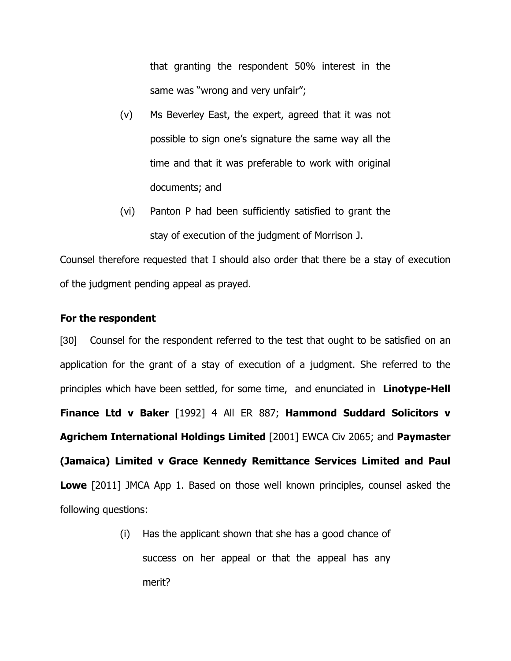that granting the respondent 50% interest in the same was "wrong and very unfair";

- (v) Ms Beverley East, the expert, agreed that it was not possible to sign one's signature the same way all the time and that it was preferable to work with original documents; and
- (vi) Panton P had been sufficiently satisfied to grant the stay of execution of the judgment of Morrison J.

Counsel therefore requested that I should also order that there be a stay of execution of the judgment pending appeal as prayed.

### For the respondent

[30] Counsel for the respondent referred to the test that ought to be satisfied on an application for the grant of a stay of execution of a judgment. She referred to the principles which have been settled, for some time, and enunciated in **Linotype-Hell** Finance Ltd v Baker [1992] 4 All ER 887; Hammond Suddard Solicitors v Agrichem International Holdings Limited [2001] EWCA Civ 2065; and Paymaster (Jamaica) Limited v Grace Kennedy Remittance Services Limited and Paul **Lowe** [2011] JMCA App 1. Based on those well known principles, counsel asked the following questions:

> (i) Has the applicant shown that she has a good chance of success on her appeal or that the appeal has any merit?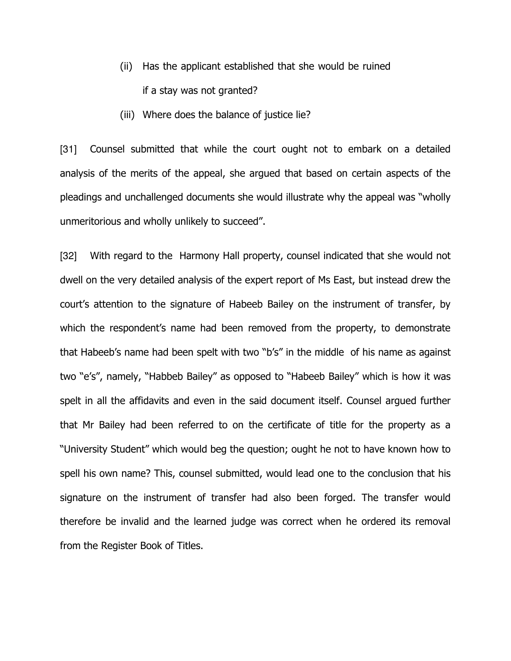- (ii) Has the applicant established that she would be ruined if a stay was not granted?
- (iii) Where does the balance of justice lie?

[31] Counsel submitted that while the court ought not to embark on a detailed analysis of the merits of the appeal, she argued that based on certain aspects of the pleadings and unchallenged documents she would illustrate why the appeal was "wholly unmeritorious and wholly unlikely to succeed".

[32] With regard to the Harmony Hall property, counsel indicated that she would not dwell on the very detailed analysis of the expert report of Ms East, but instead drew the court's attention to the signature of Habeeb Bailey on the instrument of transfer, by which the respondent's name had been removed from the property, to demonstrate that Habeeb's name had been spelt with two "b's" in the middle of his name as against two "e's", namely, "Habbeb Bailey" as opposed to "Habeeb Bailey" which is how it was spelt in all the affidavits and even in the said document itself. Counsel argued further that Mr Bailey had been referred to on the certificate of title for the property as a "University Student" which would beg the question; ought he not to have known how to spell his own name? This, counsel submitted, would lead one to the conclusion that his signature on the instrument of transfer had also been forged. The transfer would therefore be invalid and the learned judge was correct when he ordered its removal from the Register Book of Titles.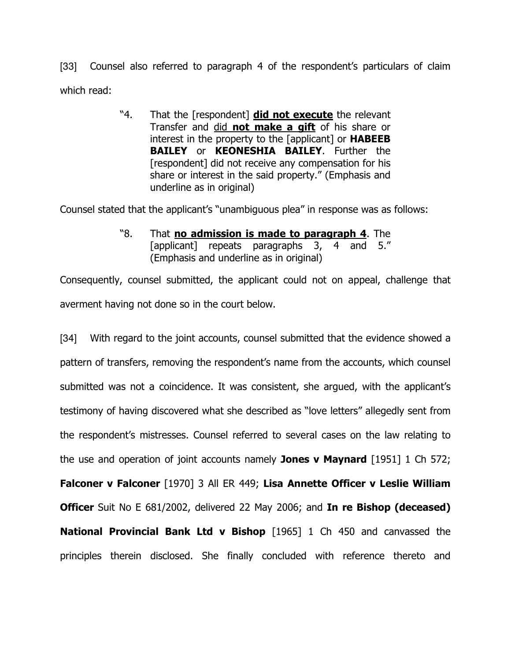[33] Counsel also referred to paragraph 4 of the respondent's particulars of claim which read:

> "4. That the [respondent] did not execute the relevant Transfer and did not make a gift of his share or interest in the property to the [applicant] or **HABEEB** BAILEY or KEONESHIA BAILEY. Further the [respondent] did not receive any compensation for his share or interest in the said property." (Emphasis and underline as in original)

Counsel stated that the applicant's "unambiguous plea" in response was as follows:

"8. That **no admission is made to paragraph 4**. The [applicant] repeats paragraphs 3, 4 and 5." (Emphasis and underline as in original)

Consequently, counsel submitted, the applicant could not on appeal, challenge that averment having not done so in the court below.

[34] With regard to the joint accounts, counsel submitted that the evidence showed a pattern of transfers, removing the respondent's name from the accounts, which counsel submitted was not a coincidence. It was consistent, she argued, with the applicant's testimony of having discovered what she described as "love letters" allegedly sent from the respondent's mistresses. Counsel referred to several cases on the law relating to the use and operation of joint accounts namely **Jones v Maynard** [1951] 1 Ch 572; Falconer v Falconer [1970] 3 All ER 449; Lisa Annette Officer v Leslie William Officer Suit No E 681/2002, delivered 22 May 2006; and In re Bishop (deceased) National Provincial Bank Ltd v Bishop [1965] 1 Ch 450 and canvassed the principles therein disclosed. She finally concluded with reference thereto and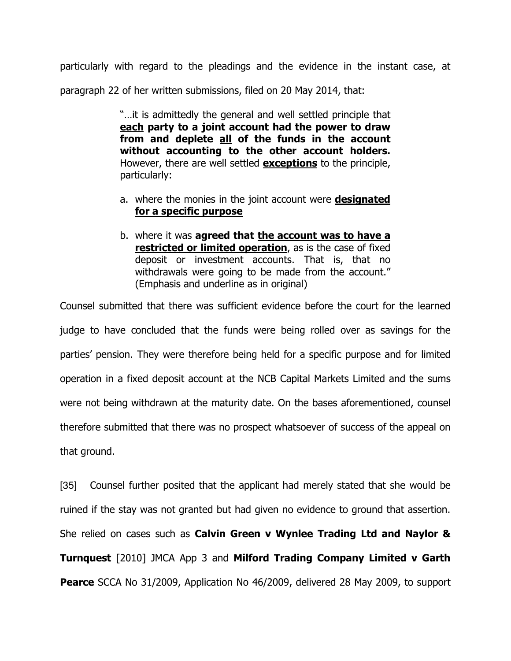particularly with regard to the pleadings and the evidence in the instant case, at paragraph 22 of her written submissions, filed on 20 May 2014, that:

> "…it is admittedly the general and well settled principle that each party to a joint account had the power to draw from and deplete all of the funds in the account without accounting to the other account holders. However, there are well settled **exceptions** to the principle, particularly:

- a. where the monies in the joint account were **designated** for a specific purpose
- b. where it was agreed that the account was to have a restricted or limited operation, as is the case of fixed deposit or investment accounts. That is, that no withdrawals were going to be made from the account." (Emphasis and underline as in original)

Counsel submitted that there was sufficient evidence before the court for the learned judge to have concluded that the funds were being rolled over as savings for the parties' pension. They were therefore being held for a specific purpose and for limited operation in a fixed deposit account at the NCB Capital Markets Limited and the sums were not being withdrawn at the maturity date. On the bases aforementioned, counsel therefore submitted that there was no prospect whatsoever of success of the appeal on that ground.

[35] Counsel further posited that the applicant had merely stated that she would be ruined if the stay was not granted but had given no evidence to ground that assertion. She relied on cases such as Calvin Green v Wynlee Trading Ltd and Naylor & Turnquest [2010] JMCA App 3 and Milford Trading Company Limited v Garth **Pearce** SCCA No 31/2009, Application No 46/2009, delivered 28 May 2009, to support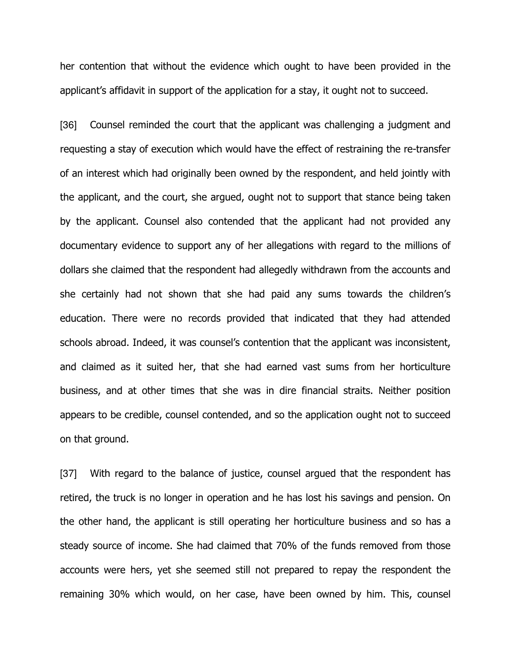her contention that without the evidence which ought to have been provided in the applicant's affidavit in support of the application for a stay, it ought not to succeed.

[36] Counsel reminded the court that the applicant was challenging a judgment and requesting a stay of execution which would have the effect of restraining the re-transfer of an interest which had originally been owned by the respondent, and held jointly with the applicant, and the court, she argued, ought not to support that stance being taken by the applicant. Counsel also contended that the applicant had not provided any documentary evidence to support any of her allegations with regard to the millions of dollars she claimed that the respondent had allegedly withdrawn from the accounts and she certainly had not shown that she had paid any sums towards the children's education. There were no records provided that indicated that they had attended schools abroad. Indeed, it was counsel's contention that the applicant was inconsistent, and claimed as it suited her, that she had earned vast sums from her horticulture business, and at other times that she was in dire financial straits. Neither position appears to be credible, counsel contended, and so the application ought not to succeed on that ground.

[37] With regard to the balance of justice, counsel argued that the respondent has retired, the truck is no longer in operation and he has lost his savings and pension. On the other hand, the applicant is still operating her horticulture business and so has a steady source of income. She had claimed that 70% of the funds removed from those accounts were hers, yet she seemed still not prepared to repay the respondent the remaining 30% which would, on her case, have been owned by him. This, counsel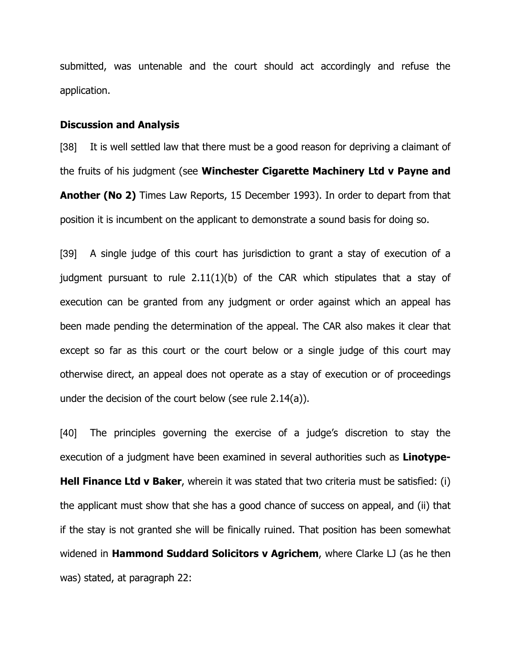submitted, was untenable and the court should act accordingly and refuse the application.

#### Discussion and Analysis

[38] It is well settled law that there must be a good reason for depriving a claimant of the fruits of his judgment (see Winchester Cigarette Machinery Ltd v Payne and Another (No 2) Times Law Reports, 15 December 1993). In order to depart from that position it is incumbent on the applicant to demonstrate a sound basis for doing so.

[39] A single judge of this court has jurisdiction to grant a stay of execution of a judgment pursuant to rule 2.11(1)(b) of the CAR which stipulates that a stay of execution can be granted from any judgment or order against which an appeal has been made pending the determination of the appeal. The CAR also makes it clear that except so far as this court or the court below or a single judge of this court may otherwise direct, an appeal does not operate as a stay of execution or of proceedings under the decision of the court below (see rule 2.14(a)).

[40] The principles governing the exercise of a judge's discretion to stay the execution of a judgment have been examined in several authorities such as Linotype-**Hell Finance Ltd v Baker**, wherein it was stated that two criteria must be satisfied: (i) the applicant must show that she has a good chance of success on appeal, and (ii) that if the stay is not granted she will be finically ruined. That position has been somewhat widened in **Hammond Suddard Solicitors v Agrichem**, where Clarke  $\Box$  (as he then was) stated, at paragraph 22: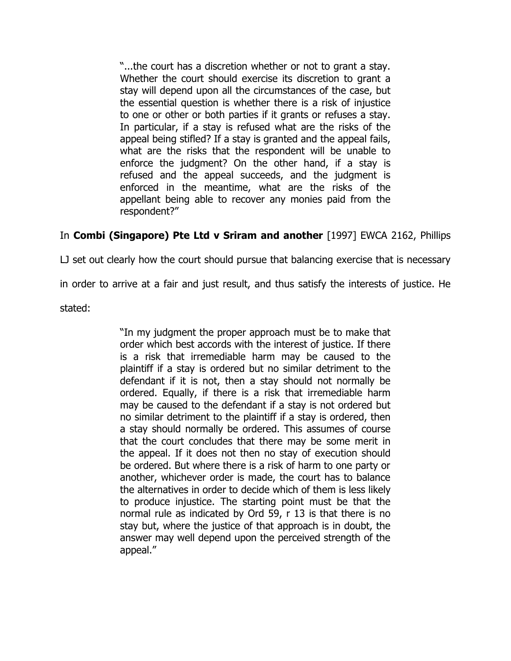"...the court has a discretion whether or not to grant a stay. Whether the court should exercise its discretion to grant a stay will depend upon all the circumstances of the case, but the essential question is whether there is a risk of injustice to one or other or both parties if it grants or refuses a stay. In particular, if a stay is refused what are the risks of the appeal being stifled? If a stay is granted and the appeal fails, what are the risks that the respondent will be unable to enforce the judgment? On the other hand, if a stay is refused and the appeal succeeds, and the judgment is enforced in the meantime, what are the risks of the appellant being able to recover any monies paid from the respondent?"

## In Combi (Singapore) Pte Ltd v Sriram and another [1997] EWCA 2162, Phillips

LJ set out clearly how the court should pursue that balancing exercise that is necessary

in order to arrive at a fair and just result, and thus satisfy the interests of justice. He

stated:

"In my judgment the proper approach must be to make that order which best accords with the interest of justice. If there is a risk that irremediable harm may be caused to the plaintiff if a stay is ordered but no similar detriment to the defendant if it is not, then a stay should not normally be ordered. Equally, if there is a risk that irremediable harm may be caused to the defendant if a stay is not ordered but no similar detriment to the plaintiff if a stay is ordered, then a stay should normally be ordered. This assumes of course that the court concludes that there may be some merit in the appeal. If it does not then no stay of execution should be ordered. But where there is a risk of harm to one party or another, whichever order is made, the court has to balance the alternatives in order to decide which of them is less likely to produce injustice. The starting point must be that the normal rule as indicated by Ord 59, r 13 is that there is no stay but, where the justice of that approach is in doubt, the answer may well depend upon the perceived strength of the appeal."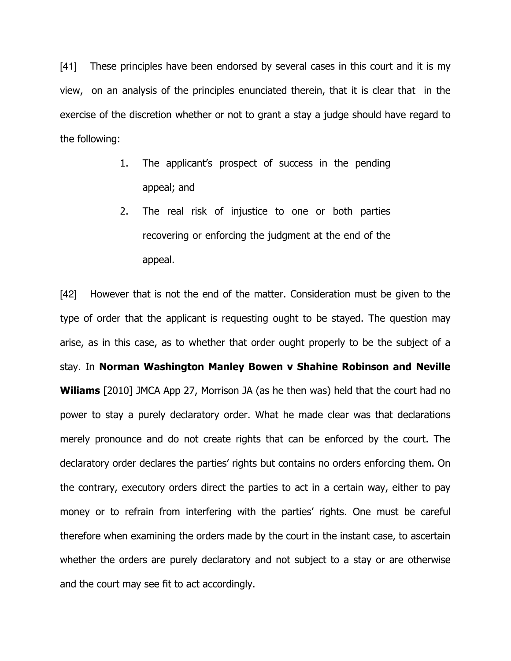[41] These principles have been endorsed by several cases in this court and it is my view, on an analysis of the principles enunciated therein, that it is clear that in the exercise of the discretion whether or not to grant a stay a judge should have regard to the following:

- 1. The applicant's prospect of success in the pending appeal; and
- 2. The real risk of injustice to one or both parties recovering or enforcing the judgment at the end of the appeal.

[42] However that is not the end of the matter. Consideration must be given to the type of order that the applicant is requesting ought to be stayed. The question may arise, as in this case, as to whether that order ought properly to be the subject of a stay. In Norman Washington Manley Bowen v Shahine Robinson and Neville Wiliams [2010] JMCA App 27, Morrison JA (as he then was) held that the court had no power to stay a purely declaratory order. What he made clear was that declarations merely pronounce and do not create rights that can be enforced by the court. The declaratory order declares the parties' rights but contains no orders enforcing them. On the contrary, executory orders direct the parties to act in a certain way, either to pay money or to refrain from interfering with the parties' rights. One must be careful therefore when examining the orders made by the court in the instant case, to ascertain whether the orders are purely declaratory and not subject to a stay or are otherwise and the court may see fit to act accordingly.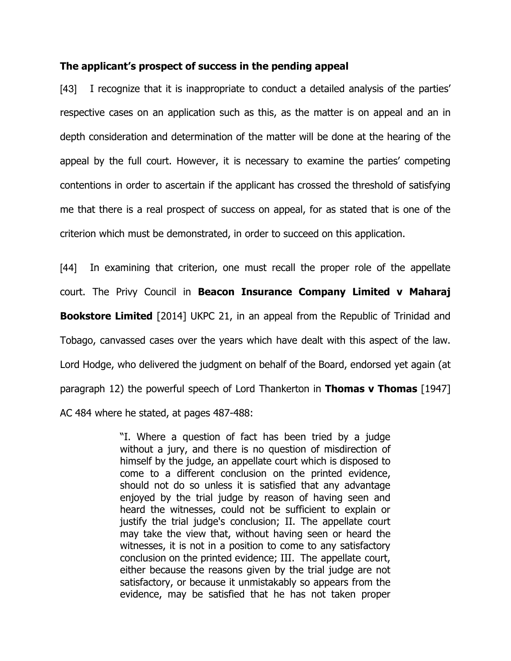### The applicant's prospect of success in the pending appeal

[43] I recognize that it is inappropriate to conduct a detailed analysis of the parties' respective cases on an application such as this, as the matter is on appeal and an in depth consideration and determination of the matter will be done at the hearing of the appeal by the full court. However, it is necessary to examine the parties' competing contentions in order to ascertain if the applicant has crossed the threshold of satisfying me that there is a real prospect of success on appeal, for as stated that is one of the criterion which must be demonstrated, in order to succeed on this application.

[44] In examining that criterion, one must recall the proper role of the appellate court. The Privy Council in Beacon Insurance Company Limited v Maharaj **Bookstore Limited** [2014] UKPC 21, in an appeal from the Republic of Trinidad and Tobago, canvassed cases over the years which have dealt with this aspect of the law. Lord Hodge, who delivered the judgment on behalf of the Board, endorsed yet again (at paragraph 12) the powerful speech of Lord Thankerton in **Thomas v Thomas** [1947] AC 484 where he stated, at pages 487-488:

> "I. Where a question of fact has been tried by a judge without a jury, and there is no question of misdirection of himself by the judge, an appellate court which is disposed to come to a different conclusion on the printed evidence, should not do so unless it is satisfied that any advantage enjoyed by the trial judge by reason of having seen and heard the witnesses, could not be sufficient to explain or justify the trial judge's conclusion; II. The appellate court may take the view that, without having seen or heard the witnesses, it is not in a position to come to any satisfactory conclusion on the printed evidence; III. The appellate court, either because the reasons given by the trial judge are not satisfactory, or because it unmistakably so appears from the evidence, may be satisfied that he has not taken proper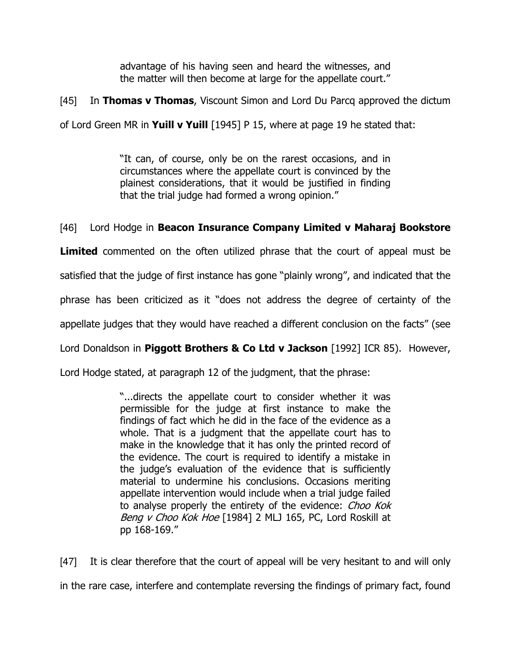advantage of his having seen and heard the witnesses, and the matter will then become at large for the appellate court."

[45] In Thomas v Thomas, Viscount Simon and Lord Du Parcq approved the dictum

of Lord Green MR in Yuill v Yuill  $[1945]$  P 15, where at page 19 he stated that:

"It can, of course, only be on the rarest occasions, and in circumstances where the appellate court is convinced by the plainest considerations, that it would be justified in finding that the trial judge had formed a wrong opinion."

## [46] Lord Hodge in Beacon Insurance Company Limited v Maharaj Bookstore

**Limited** commented on the often utilized phrase that the court of appeal must be satisfied that the judge of first instance has gone "plainly wrong", and indicated that the phrase has been criticized as it "does not address the degree of certainty of the appellate judges that they would have reached a different conclusion on the facts" (see

Lord Donaldson in Piggott Brothers & Co Ltd v Jackson [1992] ICR 85). However,

Lord Hodge stated, at paragraph 12 of the judgment, that the phrase:

"...directs the appellate court to consider whether it was permissible for the judge at first instance to make the findings of fact which he did in the face of the evidence as a whole. That is a judgment that the appellate court has to make in the knowledge that it has only the printed record of the evidence. The court is required to identify a mistake in the judge's evaluation of the evidence that is sufficiently material to undermine his conclusions. Occasions meriting appellate intervention would include when a trial judge failed to analyse properly the entirety of the evidence: Choo Kok Beng v Choo Kok Hoe [1984] 2 MLJ 165, PC, Lord Roskill at pp 168-169."

[47] It is clear therefore that the court of appeal will be very hesitant to and will only in the rare case, interfere and contemplate reversing the findings of primary fact, found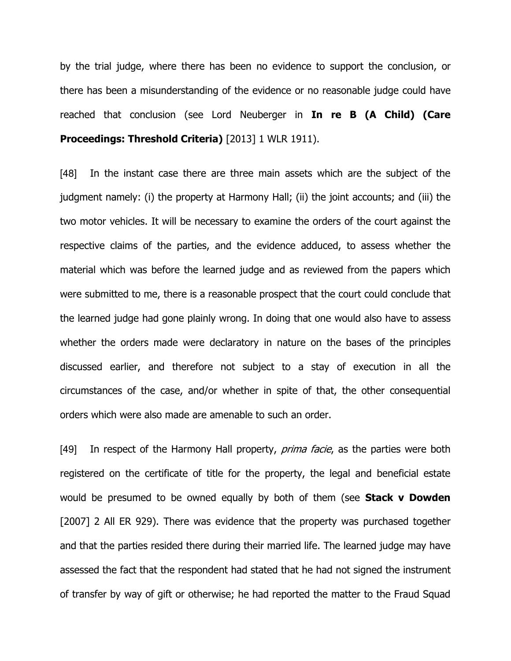by the trial judge, where there has been no evidence to support the conclusion, or there has been a misunderstanding of the evidence or no reasonable judge could have reached that conclusion (see Lord Neuberger in In re B (A Child) (Care Proceedings: Threshold Criteria) [2013] 1 WLR 1911).

[48] In the instant case there are three main assets which are the subject of the judgment namely: (i) the property at Harmony Hall; (ii) the joint accounts; and (iii) the two motor vehicles. It will be necessary to examine the orders of the court against the respective claims of the parties, and the evidence adduced, to assess whether the material which was before the learned judge and as reviewed from the papers which were submitted to me, there is a reasonable prospect that the court could conclude that the learned judge had gone plainly wrong. In doing that one would also have to assess whether the orders made were declaratory in nature on the bases of the principles discussed earlier, and therefore not subject to a stay of execution in all the circumstances of the case, and/or whether in spite of that, the other consequential orders which were also made are amenable to such an order.

[49] In respect of the Harmony Hall property, *prima facie*, as the parties were both registered on the certificate of title for the property, the legal and beneficial estate would be presumed to be owned equally by both of them (see **Stack v Dowden** [2007] 2 All ER 929). There was evidence that the property was purchased together and that the parties resided there during their married life. The learned judge may have assessed the fact that the respondent had stated that he had not signed the instrument of transfer by way of gift or otherwise; he had reported the matter to the Fraud Squad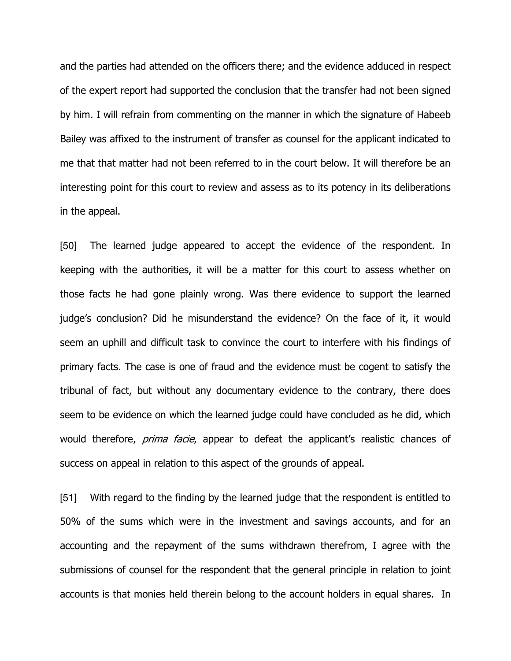and the parties had attended on the officers there; and the evidence adduced in respect of the expert report had supported the conclusion that the transfer had not been signed by him. I will refrain from commenting on the manner in which the signature of Habeeb Bailey was affixed to the instrument of transfer as counsel for the applicant indicated to me that that matter had not been referred to in the court below. It will therefore be an interesting point for this court to review and assess as to its potency in its deliberations in the appeal.

[50] The learned judge appeared to accept the evidence of the respondent. In keeping with the authorities, it will be a matter for this court to assess whether on those facts he had gone plainly wrong. Was there evidence to support the learned judge's conclusion? Did he misunderstand the evidence? On the face of it, it would seem an uphill and difficult task to convince the court to interfere with his findings of primary facts. The case is one of fraud and the evidence must be cogent to satisfy the tribunal of fact, but without any documentary evidence to the contrary, there does seem to be evidence on which the learned judge could have concluded as he did, which would therefore, *prima facie*, appear to defeat the applicant's realistic chances of success on appeal in relation to this aspect of the grounds of appeal.

[51] With regard to the finding by the learned judge that the respondent is entitled to 50% of the sums which were in the investment and savings accounts, and for an accounting and the repayment of the sums withdrawn therefrom, I agree with the submissions of counsel for the respondent that the general principle in relation to joint accounts is that monies held therein belong to the account holders in equal shares. In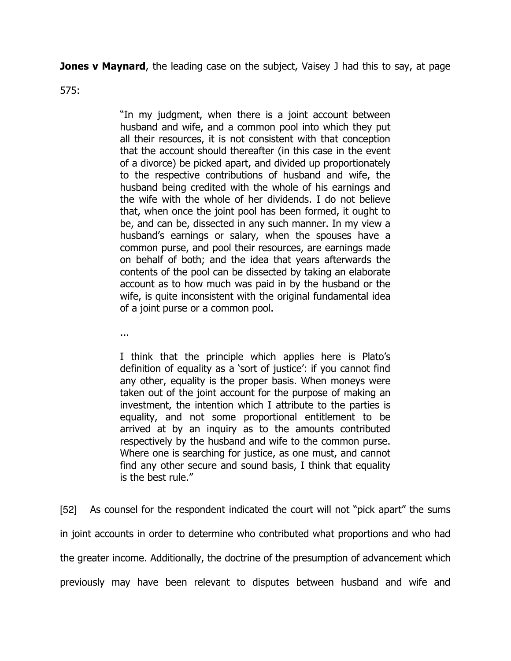**Jones v Maynard,** the leading case on the subject, Vaisey J had this to say, at page

575:

"In my judgment, when there is a joint account between husband and wife, and a common pool into which they put all their resources, it is not consistent with that conception that the account should thereafter (in this case in the event of a divorce) be picked apart, and divided up proportionately to the respective contributions of husband and wife, the husband being credited with the whole of his earnings and the wife with the whole of her dividends. I do not believe that, when once the joint pool has been formed, it ought to be, and can be, dissected in any such manner. In my view a husband's earnings or salary, when the spouses have a common purse, and pool their resources, are earnings made on behalf of both; and the idea that years afterwards the contents of the pool can be dissected by taking an elaborate account as to how much was paid in by the husband or the wife, is quite inconsistent with the original fundamental idea of a joint purse or a common pool.

...

I think that the principle which applies here is Plato's definition of equality as a 'sort of justice': if you cannot find any other, equality is the proper basis. When moneys were taken out of the joint account for the purpose of making an investment, the intention which I attribute to the parties is equality, and not some proportional entitlement to be arrived at by an inquiry as to the amounts contributed respectively by the husband and wife to the common purse. Where one is searching for justice, as one must, and cannot find any other secure and sound basis, I think that equality is the best rule."

[52] As counsel for the respondent indicated the court will not "pick apart" the sums in joint accounts in order to determine who contributed what proportions and who had the greater income. Additionally, the doctrine of the presumption of advancement which previously may have been relevant to disputes between husband and wife and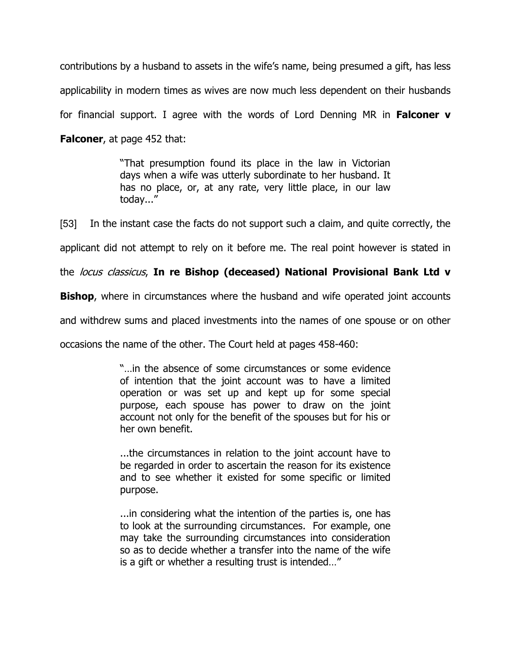contributions by a husband to assets in the wife's name, being presumed a gift, has less applicability in modern times as wives are now much less dependent on their husbands for financial support. I agree with the words of Lord Denning MR in **Falconer**  $v$ 

**Falconer,** at page 452 that:

"That presumption found its place in the law in Victorian days when a wife was utterly subordinate to her husband. It has no place, or, at any rate, very little place, in our law today..."

[53] In the instant case the facts do not support such a claim, and quite correctly, the

applicant did not attempt to rely on it before me. The real point however is stated in

the locus classicus, In re Bishop (deceased) National Provisional Bank Ltd v

**Bishop**, where in circumstances where the husband and wife operated joint accounts

and withdrew sums and placed investments into the names of one spouse or on other

occasions the name of the other. The Court held at pages 458-460:

"…in the absence of some circumstances or some evidence of intention that the joint account was to have a limited operation or was set up and kept up for some special purpose, each spouse has power to draw on the joint account not only for the benefit of the spouses but for his or her own benefit.

...the circumstances in relation to the joint account have to be regarded in order to ascertain the reason for its existence and to see whether it existed for some specific or limited purpose.

...in considering what the intention of the parties is, one has to look at the surrounding circumstances. For example, one may take the surrounding circumstances into consideration so as to decide whether a transfer into the name of the wife is a gift or whether a resulting trust is intended…"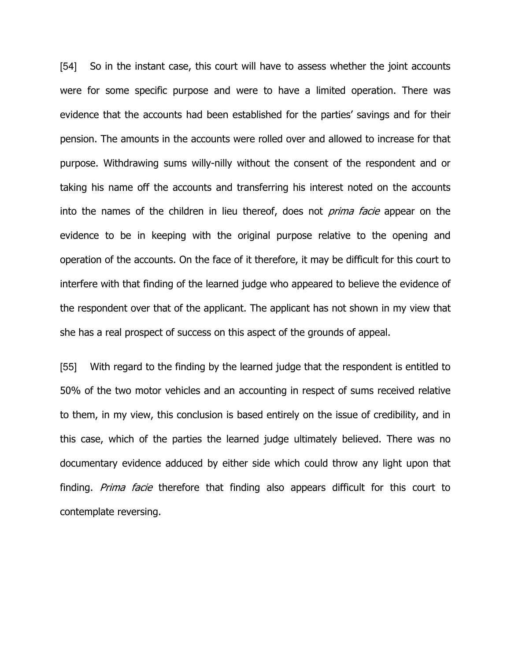[54] So in the instant case, this court will have to assess whether the joint accounts were for some specific purpose and were to have a limited operation. There was evidence that the accounts had been established for the parties' savings and for their pension. The amounts in the accounts were rolled over and allowed to increase for that purpose. Withdrawing sums willy-nilly without the consent of the respondent and or taking his name off the accounts and transferring his interest noted on the accounts into the names of the children in lieu thereof, does not *prima facie* appear on the evidence to be in keeping with the original purpose relative to the opening and operation of the accounts. On the face of it therefore, it may be difficult for this court to interfere with that finding of the learned judge who appeared to believe the evidence of the respondent over that of the applicant. The applicant has not shown in my view that she has a real prospect of success on this aspect of the grounds of appeal.

[55] With regard to the finding by the learned judge that the respondent is entitled to 50% of the two motor vehicles and an accounting in respect of sums received relative to them, in my view, this conclusion is based entirely on the issue of credibility, and in this case, which of the parties the learned judge ultimately believed. There was no documentary evidence adduced by either side which could throw any light upon that finding. Prima facie therefore that finding also appears difficult for this court to contemplate reversing.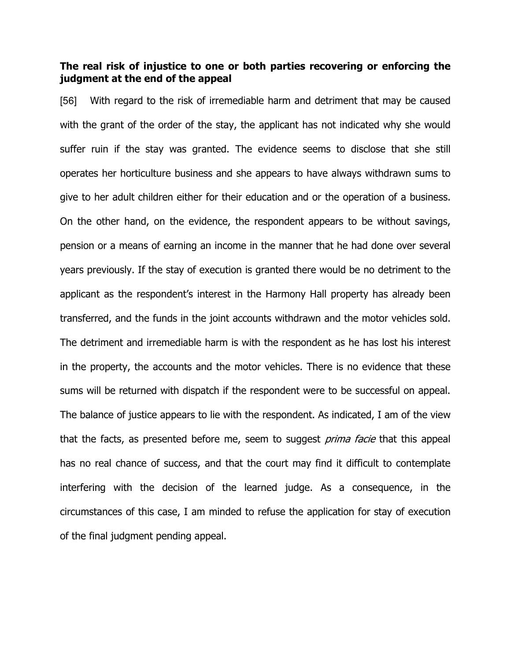### The real risk of injustice to one or both parties recovering or enforcing the judgment at the end of the appeal

[56] With regard to the risk of irremediable harm and detriment that may be caused with the grant of the order of the stay, the applicant has not indicated why she would suffer ruin if the stay was granted. The evidence seems to disclose that she still operates her horticulture business and she appears to have always withdrawn sums to give to her adult children either for their education and or the operation of a business. On the other hand, on the evidence, the respondent appears to be without savings, pension or a means of earning an income in the manner that he had done over several years previously. If the stay of execution is granted there would be no detriment to the applicant as the respondent's interest in the Harmony Hall property has already been transferred, and the funds in the joint accounts withdrawn and the motor vehicles sold. The detriment and irremediable harm is with the respondent as he has lost his interest in the property, the accounts and the motor vehicles. There is no evidence that these sums will be returned with dispatch if the respondent were to be successful on appeal. The balance of justice appears to lie with the respondent. As indicated, I am of the view that the facts, as presented before me, seem to suggest *prima facie* that this appeal has no real chance of success, and that the court may find it difficult to contemplate interfering with the decision of the learned judge. As a consequence, in the circumstances of this case, I am minded to refuse the application for stay of execution of the final judgment pending appeal.